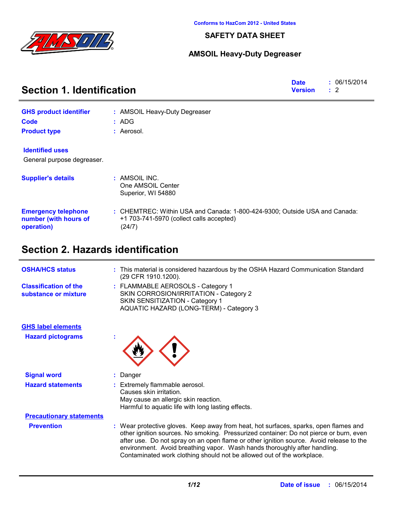

### **SAFETY DATA SHEET**

### **AMSOIL Heavy-Duty Degreaser**

| <b>Section 1. Identification</b>                                  | <b>Date</b><br><b>Version</b>                                                                                                    | : 06/15/2014<br>$\therefore$ 2 |  |  |
|-------------------------------------------------------------------|----------------------------------------------------------------------------------------------------------------------------------|--------------------------------|--|--|
| <b>GHS product identifier</b>                                     | : AMSOIL Heavy-Duty Degreaser                                                                                                    |                                |  |  |
| <b>Code</b>                                                       | : ADG                                                                                                                            |                                |  |  |
| <b>Product type</b>                                               | : Aerosol.                                                                                                                       |                                |  |  |
| <b>Identified uses</b>                                            |                                                                                                                                  |                                |  |  |
| General purpose degreaser.                                        |                                                                                                                                  |                                |  |  |
| <b>Supplier's details</b>                                         | : AMSOIL INC.<br>One AMSOIL Center<br>Superior, WI 54880                                                                         |                                |  |  |
| <b>Emergency telephone</b><br>number (with hours of<br>operation) | : CHEMTREC: Within USA and Canada: 1-800-424-9300; Outside USA and Canada:<br>+1 703-741-5970 (collect calls accepted)<br>(24/7) |                                |  |  |
| Section 2. Hazards identification                                 |                                                                                                                                  |                                |  |  |

| <b>OSHA/HCS status</b>                               | This material is considered hazardous by the OSHA Hazard Communication Standard<br>(29 CFR 1910.1200).                                                                                                                                                                                                                                                                                                                           |
|------------------------------------------------------|----------------------------------------------------------------------------------------------------------------------------------------------------------------------------------------------------------------------------------------------------------------------------------------------------------------------------------------------------------------------------------------------------------------------------------|
| <b>Classification of the</b><br>substance or mixture | : FLAMMABLE AEROSOLS - Category 1<br>SKIN CORROSION/IRRITATION - Category 2<br>SKIN SENSITIZATION - Category 1<br>AQUATIC HAZARD (LONG-TERM) - Category 3                                                                                                                                                                                                                                                                        |
| <b>GHS label elements</b>                            |                                                                                                                                                                                                                                                                                                                                                                                                                                  |
| <b>Hazard pictograms</b>                             |                                                                                                                                                                                                                                                                                                                                                                                                                                  |
| <b>Signal word</b>                                   | : Danger                                                                                                                                                                                                                                                                                                                                                                                                                         |
| <b>Hazard statements</b>                             | Extremely flammable aerosol.<br>Causes skin irritation.<br>May cause an allergic skin reaction.<br>Harmful to aquatic life with long lasting effects.                                                                                                                                                                                                                                                                            |
| <b>Precautionary statements</b>                      |                                                                                                                                                                                                                                                                                                                                                                                                                                  |
| <b>Prevention</b>                                    | : Wear protective gloves. Keep away from heat, hot surfaces, sparks, open flames and<br>other ignition sources. No smoking. Pressurized container: Do not pierce or burn, even<br>after use. Do not spray on an open flame or other ignition source. Avoid release to the<br>environment. Avoid breathing vapor. Wash hands thoroughly after handling.<br>Contaminated work clothing should not be allowed out of the workplace. |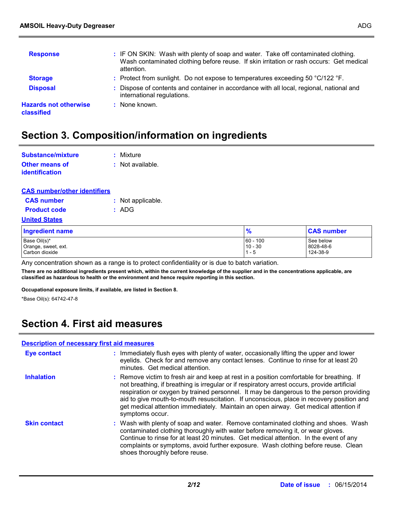| <b>Response</b>                            | : IF ON SKIN: Wash with plenty of soap and water. Take off contaminated clothing.<br>Wash contaminated clothing before reuse. If skin irritation or rash occurs: Get medical<br>attention. |
|--------------------------------------------|--------------------------------------------------------------------------------------------------------------------------------------------------------------------------------------------|
| <b>Storage</b>                             | : Protect from sunlight. Do not expose to temperatures exceeding 50 °C/122 °F.                                                                                                             |
| <b>Disposal</b>                            | : Dispose of contents and container in accordance with all local, regional, national and<br>international regulations.                                                                     |
| <b>Hazards not otherwise</b><br>classified | : None known.                                                                                                                                                                              |

## **Section 3. Composition/information on ingredients**

| Substance/mixture     | : Mixture        |
|-----------------------|------------------|
| <b>Other means of</b> | : Not available. |
| <i>identification</i> |                  |

| <b>CAS number/other identifiers</b> |
|-------------------------------------|
|-------------------------------------|

| <b>CAS number</b>   | : Not applicable. |
|---------------------|-------------------|
| <b>Product code</b> | : ADG             |

#### **United States**

| <b>Ingredient name</b> | $\frac{9}{6}$ | <b>CAS number</b> |
|------------------------|---------------|-------------------|
| Base Oil(s)*           | $160 - 100$   | See below         |
| Orange, sweet, ext.    | $10 - 30$     | 8028-48-6         |
| Carbon dioxide         | l 1 - 5       | 124-38-9          |

Any concentration shown as a range is to protect confidentiality or is due to batch variation.

**There are no additional ingredients present which, within the current knowledge of the supplier and in the concentrations applicable, are classified as hazardous to health or the environment and hence require reporting in this section.**

**Occupational exposure limits, if available, are listed in Section 8.**

\*Base Oil(s): 64742-47-8

### **Section 4. First aid measures**

#### **Description of necessary first aid measures**

| <b>Eye contact</b>  | : Immediately flush eyes with plenty of water, occasionally lifting the upper and lower<br>eyelids. Check for and remove any contact lenses. Continue to rinse for at least 20<br>minutes. Get medical attention.                                                                                                                                                                                                                                                                           |
|---------------------|---------------------------------------------------------------------------------------------------------------------------------------------------------------------------------------------------------------------------------------------------------------------------------------------------------------------------------------------------------------------------------------------------------------------------------------------------------------------------------------------|
| <b>Inhalation</b>   | : Remove victim to fresh air and keep at rest in a position comfortable for breathing. If<br>not breathing, if breathing is irregular or if respiratory arrest occurs, provide artificial<br>respiration or oxygen by trained personnel. It may be dangerous to the person providing<br>aid to give mouth-to-mouth resuscitation. If unconscious, place in recovery position and<br>get medical attention immediately. Maintain an open airway. Get medical attention if<br>symptoms occur. |
| <b>Skin contact</b> | : Wash with plenty of soap and water. Remove contaminated clothing and shoes. Wash<br>contaminated clothing thoroughly with water before removing it, or wear gloves.<br>Continue to rinse for at least 20 minutes. Get medical attention. In the event of any<br>complaints or symptoms, avoid further exposure. Wash clothing before reuse. Clean<br>shoes thoroughly before reuse.                                                                                                       |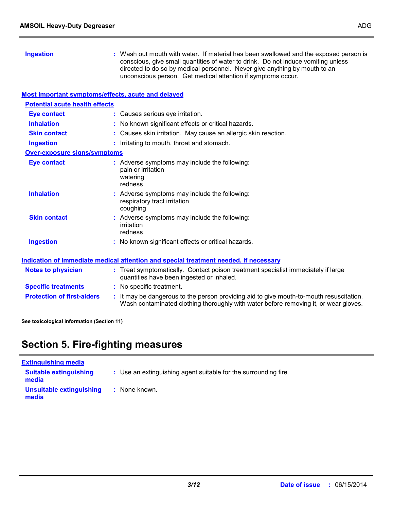| <b>Ingestion</b>                                   | : Wash out mouth with water. If material has been swallowed and the exposed person is<br>conscious, give small quantities of water to drink. Do not induce vomiting unless<br>directed to do so by medical personnel. Never give anything by mouth to an<br>unconscious person. Get medical attention if symptoms occur. |
|----------------------------------------------------|--------------------------------------------------------------------------------------------------------------------------------------------------------------------------------------------------------------------------------------------------------------------------------------------------------------------------|
| Most important symptoms/effects, acute and delayed |                                                                                                                                                                                                                                                                                                                          |
| <b>Potential acute health effects</b>              |                                                                                                                                                                                                                                                                                                                          |
| <b>Eye contact</b>                                 | : Causes serious eye irritation.                                                                                                                                                                                                                                                                                         |
| <b>Inhalation</b>                                  | : No known significant effects or critical hazards.                                                                                                                                                                                                                                                                      |
| <b>Skin contact</b>                                | : Causes skin irritation. May cause an allergic skin reaction.                                                                                                                                                                                                                                                           |
| <b>Ingestion</b>                                   | : Irritating to mouth, throat and stomach.                                                                                                                                                                                                                                                                               |
| <b>Over-exposure signs/symptoms</b>                |                                                                                                                                                                                                                                                                                                                          |
| <b>Eye contact</b>                                 | : Adverse symptoms may include the following:<br>pain or irritation<br>watering<br>redness                                                                                                                                                                                                                               |
| <b>Inhalation</b>                                  | : Adverse symptoms may include the following:<br>respiratory tract irritation<br>coughing                                                                                                                                                                                                                                |
| <b>Skin contact</b>                                | : Adverse symptoms may include the following:<br>irritation<br>redness                                                                                                                                                                                                                                                   |
| <b>Ingestion</b>                                   | : No known significant effects or critical hazards.                                                                                                                                                                                                                                                                      |
|                                                    | Indication of immediate medical attention and special treatment needed, if necessary                                                                                                                                                                                                                                     |
| <b>Notes to physician</b>                          | : Treat symptomatically. Contact poison treatment specialist immediately if large<br>quantities have been ingested or inhaled.                                                                                                                                                                                           |
| <b>Specific treatments</b>                         | : No specific treatment.                                                                                                                                                                                                                                                                                                 |
| <b>Protection of first-aiders</b>                  | : It may be dangerous to the person providing aid to give mouth-to-mouth resuscitation.<br>Wash contaminated clothing thoroughly with water before removing it, or wear gloves.                                                                                                                                          |

**See toxicological information (Section 11)**

# **Section 5. Fire-fighting measures**

| <b>Extinguishing media</b>             |                                                                 |
|----------------------------------------|-----------------------------------------------------------------|
| <b>Suitable extinguishing</b><br>media | : Use an extinguishing agent suitable for the surrounding fire. |
| Unsuitable extinguishing<br>media      | : None known.                                                   |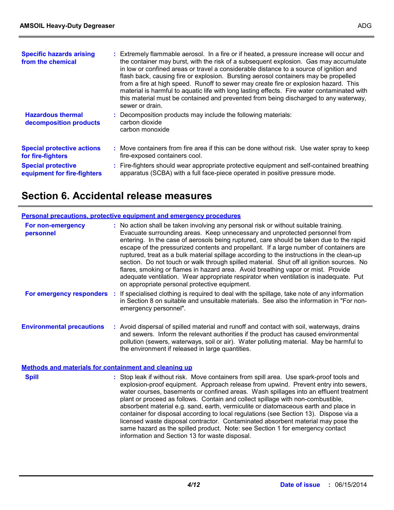| <b>Specific hazards arising</b><br>from the chemical                                                               | : Extremely flammable aerosol. In a fire or if heated, a pressure increase will occur and<br>the container may burst, with the risk of a subsequent explosion. Gas may accumulate<br>in low or confined areas or travel a considerable distance to a source of ignition and<br>flash back, causing fire or explosion. Bursting aerosol containers may be propelled<br>from a fire at high speed. Runoff to sewer may create fire or explosion hazard. This<br>material is harmful to aquatic life with long lasting effects. Fire water contaminated with<br>this material must be contained and prevented from being discharged to any waterway,<br>sewer or drain. |
|--------------------------------------------------------------------------------------------------------------------|----------------------------------------------------------------------------------------------------------------------------------------------------------------------------------------------------------------------------------------------------------------------------------------------------------------------------------------------------------------------------------------------------------------------------------------------------------------------------------------------------------------------------------------------------------------------------------------------------------------------------------------------------------------------|
| <b>Hazardous thermal</b><br>decomposition products                                                                 | : Decomposition products may include the following materials:<br>carbon dioxide<br>carbon monoxide                                                                                                                                                                                                                                                                                                                                                                                                                                                                                                                                                                   |
| <b>Special protective actions</b><br>for fire-fighters<br><b>Special protective</b><br>equipment for fire-fighters | : Move containers from fire area if this can be done without risk. Use water spray to keep<br>fire-exposed containers cool.<br>: Fire-fighters should wear appropriate protective equipment and self-contained breathing<br>apparatus (SCBA) with a full face-piece operated in positive pressure mode.                                                                                                                                                                                                                                                                                                                                                              |

## **Section 6. Accidental release measures**

#### **Personal precautions, protective equipment and emergency procedures**

| For non-emergency<br>personnel   | : No action shall be taken involving any personal risk or without suitable training.<br>Evacuate surrounding areas. Keep unnecessary and unprotected personnel from<br>entering. In the case of aerosols being ruptured, care should be taken due to the rapid<br>escape of the pressurized contents and propellant. If a large number of containers are<br>ruptured, treat as a bulk material spillage according to the instructions in the clean-up<br>section. Do not touch or walk through spilled material. Shut off all ignition sources. No<br>flares, smoking or flames in hazard area. Avoid breathing vapor or mist. Provide<br>adequate ventilation. Wear appropriate respirator when ventilation is inadequate. Put<br>on appropriate personal protective equipment. |
|----------------------------------|----------------------------------------------------------------------------------------------------------------------------------------------------------------------------------------------------------------------------------------------------------------------------------------------------------------------------------------------------------------------------------------------------------------------------------------------------------------------------------------------------------------------------------------------------------------------------------------------------------------------------------------------------------------------------------------------------------------------------------------------------------------------------------|
| For emergency responders         | If specialised clothing is required to deal with the spillage, take note of any information<br>in Section 8 on suitable and unsuitable materials. See also the information in "For non-<br>emergency personnel".                                                                                                                                                                                                                                                                                                                                                                                                                                                                                                                                                                 |
| <b>Environmental precautions</b> | : Avoid dispersal of spilled material and runoff and contact with soil, waterways, drains<br>and sewers. Inform the relevant authorities if the product has caused environmental                                                                                                                                                                                                                                                                                                                                                                                                                                                                                                                                                                                                 |

**Methods and materials for containment and cleaning up**

| <b>Spill</b> | : Stop leak if without risk. Move containers from spill area. Use spark-proof tools and<br>explosion-proof equipment. Approach release from upwind. Prevent entry into sewers,<br>water courses, basements or confined areas. Wash spillages into an effluent treatment<br>plant or proceed as follows. Contain and collect spillage with non-combustible,<br>absorbent material e.g. sand, earth, vermiculite or diatomaceous earth and place in<br>container for disposal according to local regulations (see Section 13). Dispose via a<br>licensed waste disposal contractor. Contaminated absorbent material may pose the<br>same hazard as the spilled product. Note: see Section 1 for emergency contact<br>information and Section 13 for waste disposal. |
|--------------|-------------------------------------------------------------------------------------------------------------------------------------------------------------------------------------------------------------------------------------------------------------------------------------------------------------------------------------------------------------------------------------------------------------------------------------------------------------------------------------------------------------------------------------------------------------------------------------------------------------------------------------------------------------------------------------------------------------------------------------------------------------------|
|              |                                                                                                                                                                                                                                                                                                                                                                                                                                                                                                                                                                                                                                                                                                                                                                   |

the environment if released in large quantities.

pollution (sewers, waterways, soil or air). Water polluting material. May be harmful to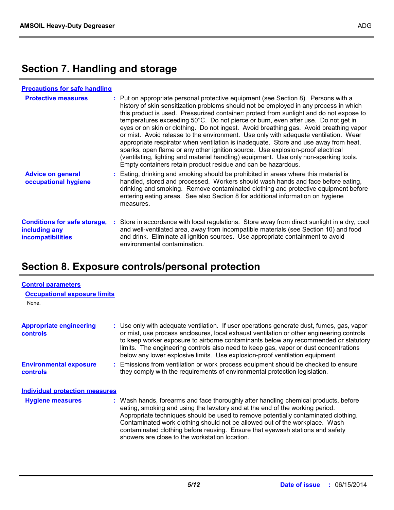# **Section 7. Handling and storage**

| <b>Precautions for safe handling</b>                                             |                                                                                                                                                                                                                                                                                                                                                                                                                                                                                                                                                                                                                                                                                                                                                                                                                                                                                   |
|----------------------------------------------------------------------------------|-----------------------------------------------------------------------------------------------------------------------------------------------------------------------------------------------------------------------------------------------------------------------------------------------------------------------------------------------------------------------------------------------------------------------------------------------------------------------------------------------------------------------------------------------------------------------------------------------------------------------------------------------------------------------------------------------------------------------------------------------------------------------------------------------------------------------------------------------------------------------------------|
| <b>Protective measures</b>                                                       | : Put on appropriate personal protective equipment (see Section 8). Persons with a<br>history of skin sensitization problems should not be employed in any process in which<br>this product is used. Pressurized container: protect from sunlight and do not expose to<br>temperatures exceeding 50°C. Do not pierce or burn, even after use. Do not get in<br>eyes or on skin or clothing. Do not ingest. Avoid breathing gas. Avoid breathing vapor<br>or mist. Avoid release to the environment. Use only with adequate ventilation. Wear<br>appropriate respirator when ventilation is inadequate. Store and use away from heat,<br>sparks, open flame or any other ignition source. Use explosion-proof electrical<br>(ventilating, lighting and material handling) equipment. Use only non-sparking tools.<br>Empty containers retain product residue and can be hazardous. |
| <b>Advice on general</b><br>occupational hygiene                                 | : Eating, drinking and smoking should be prohibited in areas where this material is<br>handled, stored and processed. Workers should wash hands and face before eating,<br>drinking and smoking. Remove contaminated clothing and protective equipment before<br>entering eating areas. See also Section 8 for additional information on hygiene<br>measures.                                                                                                                                                                                                                                                                                                                                                                                                                                                                                                                     |
| <b>Conditions for safe storage,</b><br>including any<br><b>incompatibilities</b> | : Store in accordance with local regulations. Store away from direct sunlight in a dry, cool<br>and well-ventilated area, away from incompatible materials (see Section 10) and food<br>and drink. Eliminate all ignition sources. Use appropriate containment to avoid<br>environmental contamination.                                                                                                                                                                                                                                                                                                                                                                                                                                                                                                                                                                           |

# **Section 8. Exposure controls/personal protection**

| <b>Control parameters</b>                         |                                                                                                                                                                                                                                                                                                                                                                                                                                                                             |
|---------------------------------------------------|-----------------------------------------------------------------------------------------------------------------------------------------------------------------------------------------------------------------------------------------------------------------------------------------------------------------------------------------------------------------------------------------------------------------------------------------------------------------------------|
| <b>Occupational exposure limits</b>               |                                                                                                                                                                                                                                                                                                                                                                                                                                                                             |
| None.                                             |                                                                                                                                                                                                                                                                                                                                                                                                                                                                             |
| <b>Appropriate engineering</b><br><b>controls</b> | : Use only with adequate ventilation. If user operations generate dust, fumes, gas, vapor<br>or mist, use process enclosures, local exhaust ventilation or other engineering controls<br>to keep worker exposure to airborne contaminants below any recommended or statutory<br>limits. The engineering controls also need to keep gas, vapor or dust concentrations<br>below any lower explosive limits. Use explosion-proof ventilation equipment.                        |
| <b>Environmental exposure</b><br><b>controls</b>  | : Emissions from ventilation or work process equipment should be checked to ensure<br>they comply with the requirements of environmental protection legislation.                                                                                                                                                                                                                                                                                                            |
| <b>Individual protection measures</b>             |                                                                                                                                                                                                                                                                                                                                                                                                                                                                             |
| <b>Hygiene measures</b>                           | : Wash hands, forearms and face thoroughly after handling chemical products, before<br>eating, smoking and using the lavatory and at the end of the working period.<br>Appropriate techniques should be used to remove potentially contaminated clothing.<br>Contaminated work clothing should not be allowed out of the workplace. Wash<br>contaminated clothing before reusing. Ensure that eyewash stations and safety<br>showers are close to the workstation location. |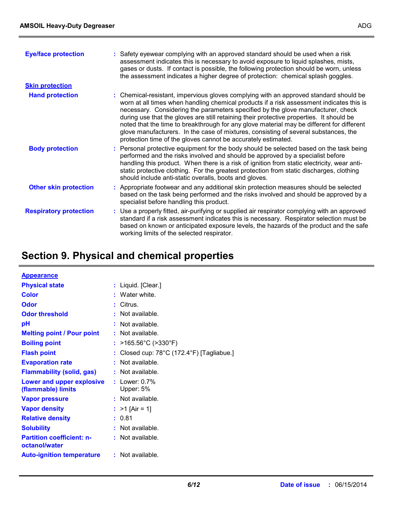| <b>Eye/face protection</b>    | : Safety eyewear complying with an approved standard should be used when a risk<br>assessment indicates this is necessary to avoid exposure to liquid splashes, mists,<br>gases or dusts. If contact is possible, the following protection should be worn, unless<br>the assessment indicates a higher degree of protection: chemical splash goggles.                                                                                                                                                                                                                                                                  |
|-------------------------------|------------------------------------------------------------------------------------------------------------------------------------------------------------------------------------------------------------------------------------------------------------------------------------------------------------------------------------------------------------------------------------------------------------------------------------------------------------------------------------------------------------------------------------------------------------------------------------------------------------------------|
| <b>Skin protection</b>        |                                                                                                                                                                                                                                                                                                                                                                                                                                                                                                                                                                                                                        |
| <b>Hand protection</b>        | : Chemical-resistant, impervious gloves complying with an approved standard should be<br>worn at all times when handling chemical products if a risk assessment indicates this is<br>necessary. Considering the parameters specified by the glove manufacturer, check<br>during use that the gloves are still retaining their protective properties. It should be<br>noted that the time to breakthrough for any glove material may be different for different<br>glove manufacturers. In the case of mixtures, consisting of several substances, the<br>protection time of the gloves cannot be accurately estimated. |
| <b>Body protection</b>        | : Personal protective equipment for the body should be selected based on the task being<br>performed and the risks involved and should be approved by a specialist before<br>handling this product. When there is a risk of ignition from static electricity, wear anti-<br>static protective clothing. For the greatest protection from static discharges, clothing<br>should include anti-static overalls, boots and gloves.                                                                                                                                                                                         |
| <b>Other skin protection</b>  | : Appropriate footwear and any additional skin protection measures should be selected<br>based on the task being performed and the risks involved and should be approved by a<br>specialist before handling this product.                                                                                                                                                                                                                                                                                                                                                                                              |
| <b>Respiratory protection</b> | : Use a properly fitted, air-purifying or supplied air respirator complying with an approved<br>standard if a risk assessment indicates this is necessary. Respirator selection must be<br>based on known or anticipated exposure levels, the hazards of the product and the safe<br>working limits of the selected respirator.                                                                                                                                                                                                                                                                                        |

# **Section 9. Physical and chemical properties**

| <b>Appearance</b>                                 |                                           |
|---------------------------------------------------|-------------------------------------------|
| <b>Physical state</b>                             | : Liquid. [Clear.]                        |
| <b>Color</b>                                      | $:$ Water white.                          |
| <b>Odor</b>                                       | : Citrus.                                 |
| <b>Odor threshold</b>                             | $:$ Not available.                        |
| рH                                                | : Not available.                          |
| <b>Melting point / Pour point</b>                 | $:$ Not available.                        |
| <b>Boiling point</b>                              | : $>165.56^{\circ}$ C ( $>330^{\circ}$ F) |
| <b>Flash point</b>                                | Closed cup: 78°C (172.4°F) [Tagliabue.]   |
| <b>Evaporation rate</b>                           | Not available.                            |
| <b>Flammability (solid, gas)</b>                  | $:$ Not available.                        |
| Lower and upper explosive<br>(flammable) limits   | : Lower: $0.7\%$<br>Upper: 5%             |
| <b>Vapor pressure</b>                             | $:$ Not available.                        |
| <b>Vapor density</b>                              | : $>1$ [Air = 1]                          |
| <b>Relative density</b>                           | : 0.81                                    |
| <b>Solubility</b>                                 | $:$ Not available.                        |
| <b>Partition coefficient: n-</b><br>octanol/water | $:$ Not available.                        |
| <b>Auto-ignition temperature</b>                  | $:$ Not available.                        |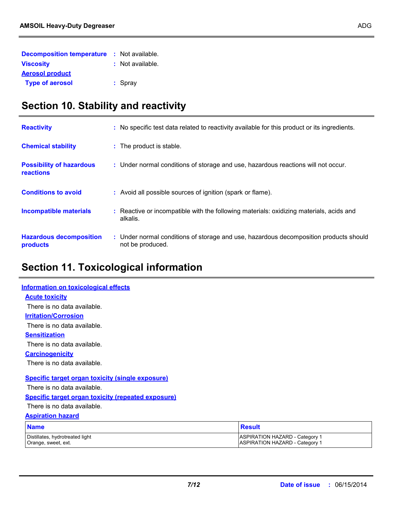| <b>Decomposition temperature : Not available.</b> |                  |  |
|---------------------------------------------------|------------------|--|
| <b>Viscosity</b>                                  | : Not available. |  |
| <b>Aerosol product</b>                            |                  |  |
| <b>Type of aerosol</b>                            | $:$ Spray        |  |

# **Section 10. Stability and reactivity**

| <b>Reactivity</b>                            | : No specific test data related to reactivity available for this product or its ingredients.              |
|----------------------------------------------|-----------------------------------------------------------------------------------------------------------|
| <b>Chemical stability</b>                    | : The product is stable.                                                                                  |
| <b>Possibility of hazardous</b><br>reactions | : Under normal conditions of storage and use, hazardous reactions will not occur.                         |
| <b>Conditions to avoid</b>                   | : Avoid all possible sources of ignition (spark or flame).                                                |
| <b>Incompatible materials</b>                | : Reactive or incompatible with the following materials: oxidizing materials, acids and<br>alkalis.       |
| <b>Hazardous decomposition</b><br>products   | : Under normal conditions of storage and use, hazardous decomposition products should<br>not be produced. |

# **Section 11. Toxicological information**

| <b>Information on toxicological effects</b>               |                                                                                |
|-----------------------------------------------------------|--------------------------------------------------------------------------------|
| <b>Acute toxicity</b>                                     |                                                                                |
| There is no data available.                               |                                                                                |
| <b>Irritation/Corrosion</b>                               |                                                                                |
| There is no data available.                               |                                                                                |
| <b>Sensitization</b>                                      |                                                                                |
| There is no data available.                               |                                                                                |
| <b>Carcinogenicity</b>                                    |                                                                                |
| There is no data available.                               |                                                                                |
| <b>Specific target organ toxicity (single exposure)</b>   |                                                                                |
| There is no data available.                               |                                                                                |
| <b>Specific target organ toxicity (repeated exposure)</b> |                                                                                |
| There is no data available.                               |                                                                                |
| <b>Aspiration hazard</b>                                  |                                                                                |
| <b>Name</b>                                               | <b>Result</b>                                                                  |
| Distillates, hydrotreated light<br>Orange, sweet, ext.    | <b>ASPIRATION HAZARD - Category 1</b><br><b>ASPIRATION HAZARD - Category 1</b> |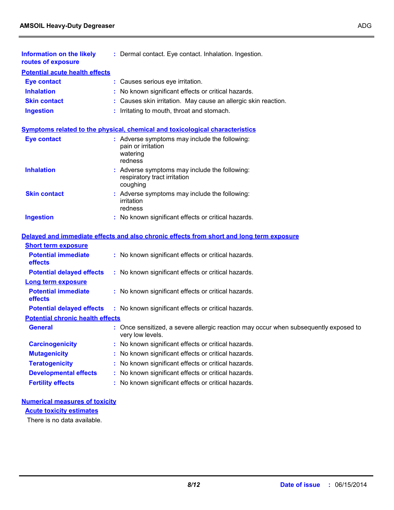| <b>Information on the likely</b><br>routes of exposure | : Dermal contact. Eye contact. Inhalation. Ingestion.                                                  |
|--------------------------------------------------------|--------------------------------------------------------------------------------------------------------|
| <b>Potential acute health effects</b>                  |                                                                                                        |
| <b>Eye contact</b>                                     | : Causes serious eye irritation.                                                                       |
| <b>Inhalation</b>                                      | : No known significant effects or critical hazards.                                                    |
| <b>Skin contact</b>                                    | : Causes skin irritation. May cause an allergic skin reaction.                                         |
| <b>Ingestion</b>                                       | : Irritating to mouth, throat and stomach.                                                             |
|                                                        | <b>Symptoms related to the physical, chemical and toxicological characteristics</b>                    |
| <b>Eye contact</b>                                     | : Adverse symptoms may include the following:<br>pain or irritation<br>watering<br>redness             |
| <b>Inhalation</b>                                      | : Adverse symptoms may include the following:<br>respiratory tract irritation<br>coughing              |
| <b>Skin contact</b>                                    | : Adverse symptoms may include the following:<br>irritation<br>redness                                 |
| <b>Ingestion</b>                                       | : No known significant effects or critical hazards.                                                    |
|                                                        | Delayed and immediate effects and also chronic effects from short and long term exposure               |
| <b>Short term exposure</b>                             |                                                                                                        |
| <b>Potential immediate</b><br>effects                  | : No known significant effects or critical hazards.                                                    |
| <b>Potential delayed effects</b>                       | : No known significant effects or critical hazards.                                                    |
| <b>Long term exposure</b>                              |                                                                                                        |
| <b>Potential immediate</b><br>effects                  | : No known significant effects or critical hazards.                                                    |
| <b>Potential delayed effects</b>                       | : No known significant effects or critical hazards.                                                    |
| <b>Potential chronic health effects</b>                |                                                                                                        |
| <b>General</b>                                         | Once sensitized, a severe allergic reaction may occur when subsequently exposed to<br>very low levels. |
| <b>Carcinogenicity</b>                                 | No known significant effects or critical hazards.                                                      |
| <b>Mutagenicity</b>                                    | No known significant effects or critical hazards.                                                      |
| <b>Teratogenicity</b>                                  | No known significant effects or critical hazards.                                                      |
| <b>Developmental effects</b>                           | No known significant effects or critical hazards.                                                      |
| <b>Fertility effects</b>                               | No known significant effects or critical hazards.                                                      |
|                                                        |                                                                                                        |

### **Numerical measures of toxicity**

**Acute toxicity estimates**

There is no data available.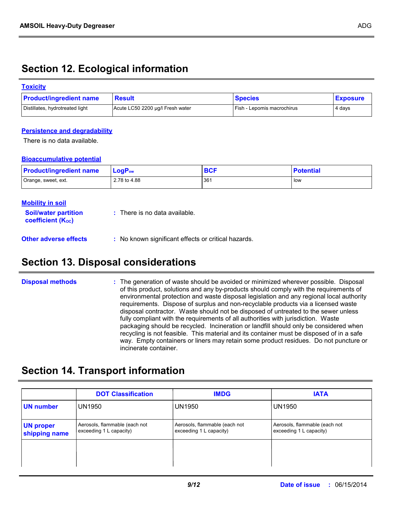# **Section 12. Ecological information**

### **Toxicity**

| <b>Product/ingredient name</b>  | <b>Result</b>                    | <b>Species</b>             | <b>Exposure</b> |
|---------------------------------|----------------------------------|----------------------------|-----------------|
| Distillates, hydrotreated light | Acute LC50 2200 µg/l Fresh water | Fish - Lepomis macrochirus | 4 days          |

### **Persistence and degradability**

There is no data available.

### **Bioaccumulative potential**

| <b>Product/ingredient name</b> | $\mathsf{LogP}_\mathsf{ow}$ | <b>BCF</b> | <b>Potential</b> |
|--------------------------------|-----------------------------|------------|------------------|
| Orange, sweet, ext.            | 2.78 to 4.88                | 361        | i low            |

| <b>Mobility in soil</b>                                       |                                                     |
|---------------------------------------------------------------|-----------------------------------------------------|
| <b>Soil/water partition</b><br>coefficient (K <sub>oc</sub> ) | $\therefore$ There is no data available.            |
| <b>Other adverse effects</b>                                  | : No known significant effects or critical hazards. |

## **Section 13. Disposal considerations**

The generation of waste should be avoided or minimized wherever possible. Disposal of this product, solutions and any by-products should comply with the requirements of environmental protection and waste disposal legislation and any regional local authority requirements. Dispose of surplus and non-recyclable products via a licensed waste disposal contractor. Waste should not be disposed of untreated to the sewer unless fully compliant with the requirements of all authorities with jurisdiction. Waste packaging should be recycled. Incineration or landfill should only be considered when recycling is not feasible. This material and its container must be disposed of in a safe way. Empty containers or liners may retain some product residues. Do not puncture or incinerate container. **Disposal methods :**

# **Section 14. Transport information**

|                                   | <b>DOT Classification</b>                                | <b>IMDG</b>                                              | <b>IATA</b>                                              |
|-----------------------------------|----------------------------------------------------------|----------------------------------------------------------|----------------------------------------------------------|
| <b>UN number</b>                  | <b>UN1950</b>                                            | <b>UN1950</b>                                            | <b>UN1950</b>                                            |
| <b>UN proper</b><br>shipping name | Aerosols, flammable (each not<br>exceeding 1 L capacity) | Aerosols, flammable (each not<br>exceeding 1 L capacity) | Aerosols, flammable (each not<br>exceeding 1 L capacity) |
|                                   |                                                          |                                                          |                                                          |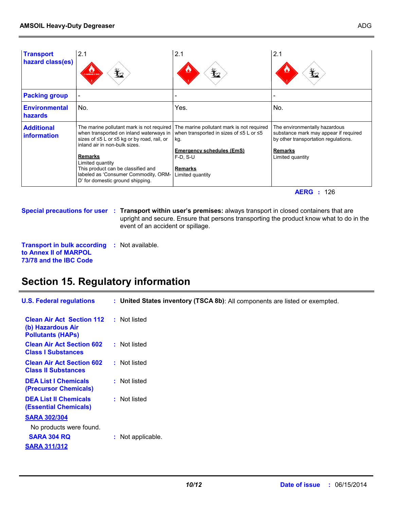| <b>Transport</b><br>hazard class(es)    | 2.1<br>$\bigstar$<br>LAMMABLE G.                                                                                                                                                                                                                                                                                      | 2.1<br>$\mathbf{E}$                                                                                                                                                                      | 2.1<br>$\mathbf{Y}_2$                                                                                                                                |
|-----------------------------------------|-----------------------------------------------------------------------------------------------------------------------------------------------------------------------------------------------------------------------------------------------------------------------------------------------------------------------|------------------------------------------------------------------------------------------------------------------------------------------------------------------------------------------|------------------------------------------------------------------------------------------------------------------------------------------------------|
| <b>Packing group</b>                    |                                                                                                                                                                                                                                                                                                                       |                                                                                                                                                                                          |                                                                                                                                                      |
| <b>Environmental</b><br>hazards         | No.                                                                                                                                                                                                                                                                                                                   | Yes.                                                                                                                                                                                     | No.                                                                                                                                                  |
| <b>Additional</b><br><b>information</b> | The marine pollutant mark is not required<br>when transported on inland waterways in<br>sizes of ≤5 L or ≤5 kg or by road, rail, or<br>inland air in non-bulk sizes.<br>Remarks<br>Limited quantity<br>This product can be classified and<br>labeled as 'Consumer Commodity, ORM-<br>D' for domestic ground shipping. | The marine pollutant mark is not required<br>when transported in sizes of $\leq 5$ L or $\leq 5$<br>kg.<br><b>Emergency schedules (EmS)</b><br>$F-D. S-U$<br>Remarks<br>Limited quantity | The environmentally hazardous<br>substance mark may appear if required<br>by other transportation regulations.<br><b>Remarks</b><br>Limited quantity |

**AERG :** 126

**Special precautions for user Transport within user's premises:** always transport in closed containers that are **:** upright and secure. Ensure that persons transporting the product know what to do in the event of an accident or spillage.

**Transport in bulk according :** Not available. **to Annex II of MARPOL 73/78 and the IBC Code**

# **Section 15. Regulatory information**

| <b>U.S. Federal regulations</b>                                                             | : United States inventory (TSCA 8b): All components are listed or exempted. |
|---------------------------------------------------------------------------------------------|-----------------------------------------------------------------------------|
| <b>Clean Air Act Section 112</b><br>(b) Hazardous Air<br><b>Pollutants (HAPs)</b>           | : Not listed                                                                |
| <b>Clean Air Act Section 602</b><br><b>Class I Substances</b>                               | : Not listed                                                                |
| <b>Clean Air Act Section 602</b><br><b>Class II Substances</b>                              | : Not listed                                                                |
| <b>DEA List I Chemicals</b><br>(Precursor Chemicals)                                        | : Not listed                                                                |
| <b>DEA List II Chemicals</b><br><b>(Essential Chemicals)</b>                                | : Not listed                                                                |
| <b>SARA 302/304</b><br>No products were found.<br><b>SARA 304 RQ</b><br><b>SARA 311/312</b> | : Not applicable.                                                           |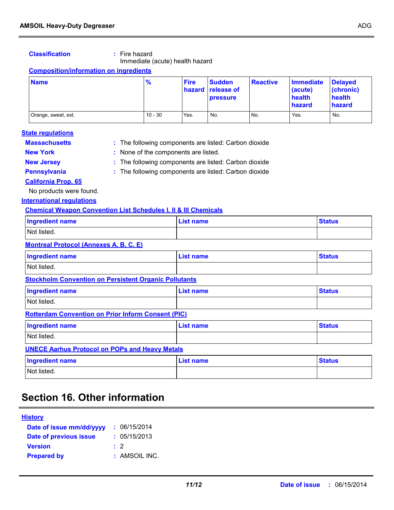### **Classification :** Fire hazard

Immediate (acute) health hazard

### **Composition/information on ingredients**

| <b>Name</b>         | $\frac{9}{6}$ | <b>Fire</b> | <b>Sudden</b><br>hazard release of<br><b>pressure</b> | <b>Reactive</b> | <b>Immediate</b><br>(acute)<br>health<br>hazard | <b>Delaved</b><br>(chronic)<br>health<br>hazard |
|---------------------|---------------|-------------|-------------------------------------------------------|-----------------|-------------------------------------------------|-------------------------------------------------|
| Orange, sweet, ext. | $10 - 30$     | Yes.        | No.                                                   | No.             | Yes.                                            | No.                                             |

#### **State regulations**

| <b>Massachusetts</b> | : The following components are listed: Carbon dioxide |
|----------------------|-------------------------------------------------------|
| <b>New York</b>      | : None of the components are listed.                  |

- **New Jersey :** The following components are listed: Carbon dioxide
- 
- **Pennsylvania :** The following components are listed: Carbon dioxide

**California Prop. 65**

No products were found.

**International regulations**

### **Chemical Weapon Convention List Schedules I, II & III Chemicals**

| <b>Ingredient name</b> | <b>List name</b> | <b>Status</b> |
|------------------------|------------------|---------------|
| Not listed.            |                  |               |

### **Montreal Protocol (Annexes A, B, C, E)**

| Ingredient name | <b>List name</b> | <b>Status</b> |
|-----------------|------------------|---------------|
| Not listed.     |                  |               |

**Stockholm Convention on Persistent Organic Pollutants**

| <b>Ingredient name</b> | List name | <b>Status</b> |
|------------------------|-----------|---------------|
| Not listed.            |           |               |

#### **Rotterdam Convention on Prior Inform Consent (PIC)**

| <b>Ingredient name</b>                                | List name | <b>Status</b> |  |  |
|-------------------------------------------------------|-----------|---------------|--|--|
| Not listed.                                           |           |               |  |  |
| <b>UNECE Aarhus Protocol on POPs and Heavy Metals</b> |           |               |  |  |

| <b>Ingredient name</b> | List name | <b>Status</b> |
|------------------------|-----------|---------------|
| Not listed.            |           |               |

### **Section 16. Other information**

### **History**

| Date of issue mm/dd/yyyy | : 06/15/2014  |
|--------------------------|---------------|
| Date of previous issue   | : 05/15/2013  |
| <b>Version</b>           | $\cdot$ 2     |
| <b>Prepared by</b>       | : AMSOIL INC. |